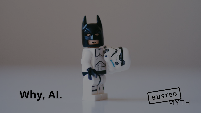### Why, AI.

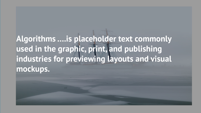### **Algorithms ….is placeholder text commonly used in the graphic, print, and publishing industries for previewing layouts and visual mockups.**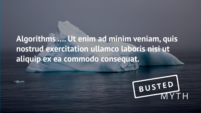### **Algorithms …. Ut enim ad minim veniam, quis nostrud exercitation ullamco laboris nisi ut aliquip ex ea commodo consequat.**

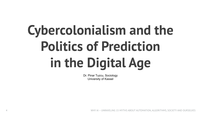# **Cybercolonialism and the Politics of Prediction in the Digital Age**

Dr. Pinar Tuzcu, Sociology University of Kassel

4 WHY AI – UNRAVELING 15 MYTHS ABOUT AUTOMATION, ALGORITHMS, SOCIETY AND OURSELVES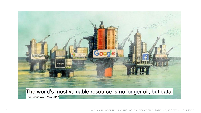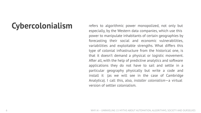**Cybercolonialism** refers to algorithmic power monopolized, not only but especially, by the Western data companies, which use this power to manipulate inhabitants of certain geographies by forecasting their social and economic vulnerabilities, variabilities and exploitable strengths. What differs this type of colonial infrastructure from the historical one, is that it doesn't demand a physical or logistic movement. After all, with the help of predictive analytics and software applications they do not have to sail and settle in a particular geography physically but write a code and install it (as we will see in the case of Cambridge Analytica). I call this, also, *installer colonialism*—a virtual version of settler colonialism.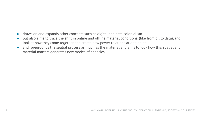- draws on and expands other concepts such as digital and data colonialism
- but also aims to trace the shift in online and offline material conditions, (like from oil to data), and look at how they come together and create new power relations at one point.
- and foregrounds the spatial process as much as the material and aims to look how this spatial and material matters generates new modes of agencies.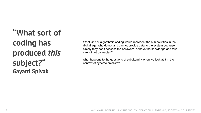### **"What sort of coding has produced** *this* **subject?" Gayatri Spivak**

What kind of algorithmic coding would represent the subjectivities in the digital age, who do not and cannot provide data to the system because simply they don't possess the hardware, or have the knowledge and thus cannot get connected?

what happens to the questions of subalternity when we look at it in the context of cybercolonialism?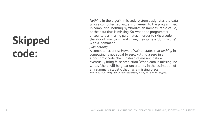### **Skipped code:**

*Nothing* in the algorithmic code system designates the data whose computerized value is **unknown** to the programmer. In computing, 'nothing' symbolizes an immeasurable value, or the data that is missing. So, when the programmer encounters a missing parameter, in order to skip a code in the algorithmic command chain, they write a "dummy line" with a command:

*//do nothing.*

A computer scientist Howard Wainer states that *nothing* in computing is not equal to zero. Putting a zero in an algorithmic code chain instead of missing data will eventually bring false prediction. 'When data is missing,' he writes, 'there will be great uncertainty in the estimation of any summary statistic that has a missing piece' Howard Wainer (2016),*Truth or Truthiness: Distinguishing Fact from Fiction, p.45.*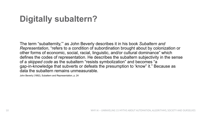### **Digitally subaltern?**

The term "subalternity,"' as John Beverly describes it in his book *Subaltern and Representation*, "refers to a condition of subordination brought about by colonization or other forms of economic, social, racial, linguistic, and/or cultural dominance" which defines the codes of representation. He describes the subaltern subjectivity in the sense of a *skipped code* as the subaltern "resists symbolization" and becomes "a gap-in-knowledge that subverts or defeats the presumption to 'know" it." Because as data the subaltern remains unmeasurable.

John Beverly (1992), Subaltern and Representation, p. 24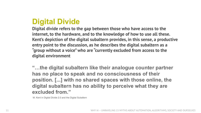#### **Digital Divide**

**Digital divide refers to the gap between those who have access to the internet, to the hardware, and to the knowledge of how to use all these. Kent's depiction of the digital subaltern provides, in this sense, a productive entry point to the discussion, as he describes the digital subaltern as a "group without a voice" who are "currently excluded from access to the digital environment**

**"…the digital subaltern like their analogue counter partner has no place to speak and no consciousness of their position. [...] with no shared spaces with those online, the digital subaltern has no ability to perceive what they are excluded from."**

M. Kent in Digital Divide 2.0 and the Digital Subaltern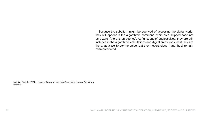Because the subaltern might be deprived of accessing the digital world, they still appear in the algorithmic command chain as a skipped code not as a zero (there is an agency). As "uncodable" subjectivities, they are still included in the algorithmic calculations and digital predictions, as if they are there, *as if* **we** *know* the value, but they nevertheless (and thus) remain misrepresented.

Radhika Gajjala (2016), *Cyberculture and the Subaltern: Weavings of the Virtual and Real*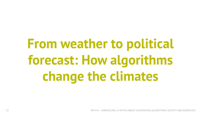# **From weather to political forecast: How algorithms change the climates**

13 WHY AI – UNRAVELING 15 MYTHS ABOUT AUTOMATION, ALGORITHMS, SOCIETY AND OURSELVES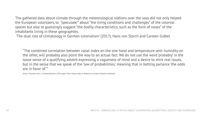The gathered data about climate through the meteorological stations over the seas did not only helped the European colonizers, to "speculate"' about "the living conditions and challenges" of the colonial spaces but also to guessingly suggest "the bodily characteristics, such as the form of noses" of the inhabitants living in these geographies.

'The dual role of climatology in German colonialism' (2017), Hans von Storch and Carsten Gräbel

"The combined correlation between nasal index on the one hand and temperature-and- humidity on the other, will probably also point the way to an actual fact. We do not use the word 'probably' in the loose sense of a qualifying adverb expressing a vagueness of mind and a desire to shirk real issues, but in the sense that we speak of the 'law of probabilities,' meaning that in betting parlance 'the odds are in favor of.'"

Arthur Thomson and L. H. Dudley Buxton's 1923 paper 'Man's Nasal Index in Relation to Certain Climatic Conditions'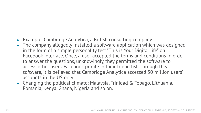- Example: Cambridge Analytica, a British consulting company.
- The company allegedly installed a software application which was designed in the form of a simple personality test "This is Your Digital life" on Facebook interface. Once, a user accepted the terms and conditions in order to answer the questions, unknowingly, they permitted the software to access other users' Facebook profile in their friend list. Through this software, it is believed that Cambridge Analytica accessed 50 million users' accounts in the US only.
- Changing the political climate: Malaysia, Trinidad & Tobago, Lithuania, Romania, Kenya, Ghana, Nigeria and so on.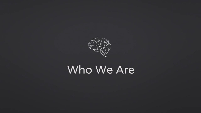

### Who We Are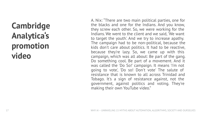#### **Cambridge Analytica's promotion video**

A. Nix: "There are two main political parties, one for the blacks and one for the Indians. And you know, they screw each other. So, we were working for the Indians. We went to the client and we said, 'We want to target the youth'. And we try to increase apathy. The campaign had to be non-political, because the kids don't care about politics. It had to be reactive, because they're lazy. So, we came up with this campaign, which was all about: Be part of the gang. Do something cool. Be part of a movement. And it was called the 'Do So!' campaign. It means 'I'm not going to vote', 'Do so! Don't vote' The salute of resistance that is known to all across Trinidad and Tobago. It's a sign of resistance against, not the government, against politics and voting. They're making their own YouTube video."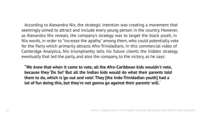According to Alexandra Nix, the strategic intention was creating a movement that seemingly aimed to attract and include every young person in the country. However, as Alexandra Nix reveals, the company's strategy was to target the black youth, in Nix words, in order to "increase the apathy" among them, who could potentially vote for the Party which primarily attracts Afro-Trinidadians. In this commercial video of Cambridge Analytica, Nix triumphantly tells his future clients the hidden strategy eventually that led the party, and also the company, to the victory, as he says:

**"We** *knew* **that when it came to vote, all the Afro-Caribbean kids wouldn't vote, because they 'Do So!' But all the Indian kids would do what their parents told them to do, which is 'go out and vote'. They [the Indo-Trinidadian youth] had a lot of fun doing this, but they're not gonna go against their parents' will."**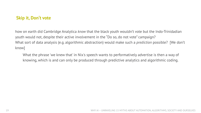#### **Skip it, Don't vote**

how on earth did Cambridge Analytica *know* that the black youth wouldn't vote but the Indo-Trinidadian youth would not, despite their active involvement in the "Do so, do not vote" campaign? What sort of data analysis (e.g. algorithmic abstraction) would make such a *prediction* possible? [We don't know]

What the phrase 'we knew that' in Nix's speech wants to performatively advertise is then a way of knowing, which is and can only be produced through predictive analytics and algorithmic coding.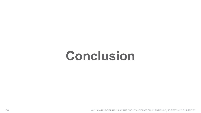## **Conclusion**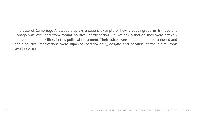The case of Cambridge Analytica displays a salient example of how a youth group in Trinidad and Tobago was excluded from formal political participation (i.e. voting), although they were actively there, online and offline, in this political movement. Their voices were muted, rendered unheard and their political motivations were hijacked, paradoxically, despite and because of the digital tools available to them.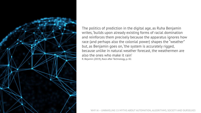

The politics of prediction in the digital age, as Ruha Benjamin writes, 'builds upon already existing forms of racial domination and reinforces them precisely because the apparatus ignores how race (and perhaps also the colonial power) shapes the "weather" but, as Benjamin goes on, 'the system is accurately rigged, because unlike in natural weather forecast, the weathermen are also the ones who make it rain' R. Bejamin (2019), Race after Technology, p. 82.